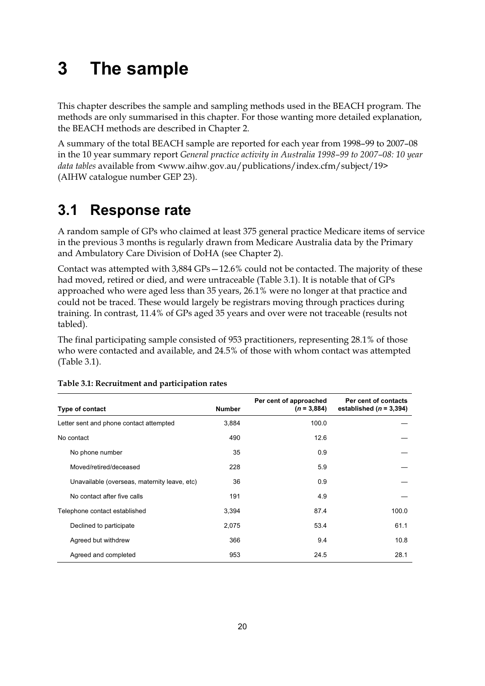# **3 The sample**

This chapter describes the sample and sampling methods used in the BEACH program. The methods are only summarised in this chapter. For those wanting more detailed explanation, the BEACH methods are described in Chapter 2.

A summary of the total BEACH sample are reported for each year from 1998–99 to 2007–08 in the 10 year summary report *General practice activity in Australia 1998–99 to 2007–08: 10 year data tables* available from <www.aihw.gov.au/publications/index.cfm/subject/19> (AIHW catalogue number GEP 23).

## **3.1 Response rate**

A random sample of GPs who claimed at least 375 general practice Medicare items of service in the previous 3 months is regularly drawn from Medicare Australia data by the Primary and Ambulatory Care Division of DoHA (see Chapter 2).

Contact was attempted with 3,884 GPs—12.6% could not be contacted. The majority of these had moved, retired or died, and were untraceable (Table 3.1). It is notable that of GPs approached who were aged less than 35 years, 26.1% were no longer at that practice and could not be traced. These would largely be registrars moving through practices during training. In contrast, 11.4% of GPs aged 35 years and over were not traceable (results not tabled).

The final participating sample consisted of 953 practitioners, representing 28.1% of those who were contacted and available, and 24.5% of those with whom contact was attempted (Table 3.1).

| Type of contact                              | <b>Number</b> | Per cent of approached<br>$(n = 3,884)$ | Per cent of contacts<br>established ( $n = 3,394$ ) |
|----------------------------------------------|---------------|-----------------------------------------|-----------------------------------------------------|
| Letter sent and phone contact attempted      | 3,884         | 100.0                                   |                                                     |
| No contact                                   | 490           | 12.6                                    |                                                     |
| No phone number                              | 35            | 0.9                                     |                                                     |
| Moved/retired/deceased                       | 228           | 5.9                                     |                                                     |
| Unavailable (overseas, maternity leave, etc) | 36            | 0.9                                     |                                                     |
| No contact after five calls                  | 191           | 4.9                                     |                                                     |
| Telephone contact established                | 3,394         | 87.4                                    | 100.0                                               |
| Declined to participate                      | 2,075         | 53.4                                    | 61.1                                                |
| Agreed but withdrew                          | 366           | 9.4                                     | 10.8                                                |
| Agreed and completed                         | 953           | 24.5                                    | 28.1                                                |

#### **Table 3.1: Recruitment and participation rates**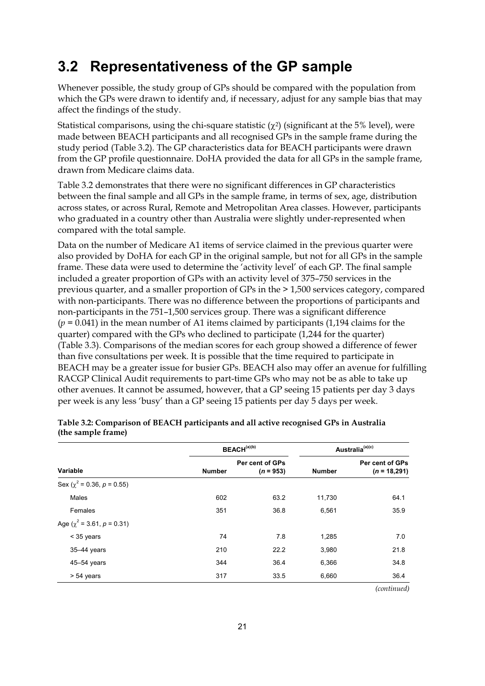### **3.2 Representativeness of the GP sample**

Whenever possible, the study group of GPs should be compared with the population from which the GPs were drawn to identify and, if necessary, adjust for any sample bias that may affect the findings of the study.

Statistical comparisons, using the chi-square statistic  $(\chi^2)$  (significant at the 5% level), were made between BEACH participants and all recognised GPs in the sample frame during the study period (Table 3.2). The GP characteristics data for BEACH participants were drawn from the GP profile questionnaire. DoHA provided the data for all GPs in the sample frame, drawn from Medicare claims data.

Table 3.2 demonstrates that there were no significant differences in GP characteristics between the final sample and all GPs in the sample frame, in terms of sex, age, distribution across states, or across Rural, Remote and Metropolitan Area classes. However, participants who graduated in a country other than Australia were slightly under-represented when compared with the total sample.

Data on the number of Medicare A1 items of service claimed in the previous quarter were also provided by DoHA for each GP in the original sample, but not for all GPs in the sample frame. These data were used to determine the 'activity level' of each GP. The final sample included a greater proportion of GPs with an activity level of 375–750 services in the previous quarter, and a smaller proportion of GPs in the > 1,500 services category, compared with non-participants. There was no difference between the proportions of participants and non-participants in the 751–1,500 services group. There was a significant difference (*p* = 0.041) in the mean number of A1 items claimed by participants (1,194 claims for the quarter) compared with the GPs who declined to participate (1,244 for the quarter) (Table 3.3). Comparisons of the median scores for each group showed a difference of fewer than five consultations per week. It is possible that the time required to participate in BEACH may be a greater issue for busier GPs. BEACH also may offer an avenue for fulfilling RACGP Clinical Audit requirements to part-time GPs who may not be as able to take up other avenues. It cannot be assumed, however, that a GP seeing 15 patients per day 3 days per week is any less 'busy' than a GP seeing 15 patients per day 5 days per week.

|               |                                | Australia <sup>(a)(c)</sup> |                                   |
|---------------|--------------------------------|-----------------------------|-----------------------------------|
| <b>Number</b> | Per cent of GPs<br>$(n = 953)$ | <b>Number</b>               | Per cent of GPs<br>$(n = 18,291)$ |
|               |                                |                             |                                   |
| 602           | 63.2                           | 11.730                      | 64.1                              |
| 351           | 36.8                           | 6,561                       | 35.9                              |
|               |                                |                             |                                   |
| 74            | 7.8                            | 1,285                       | 7.0                               |
| 210           | 22.2                           | 3,980                       | 21.8                              |
| 344           | 36.4                           | 6,366                       | 34.8                              |
| 317           | 33.5                           | 6,660                       | 36.4                              |
|               |                                | BEACH <sup>(a)(b)</sup>     |                                   |

#### **Table 3.2: Comparison of BEACH participants and all active recognised GPs in Australia (the sample frame)**

 *(continued)*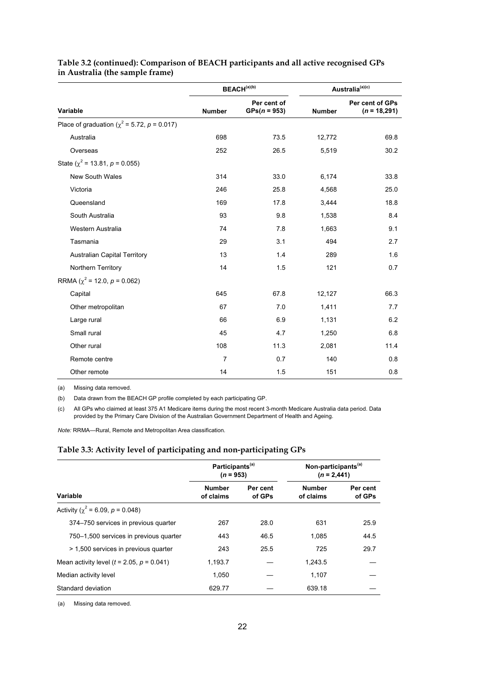|                                                   |                | BEACH <sup>(a)(b)</sup>       | Australia <sup>(a)(c)</sup> |                                   |  |
|---------------------------------------------------|----------------|-------------------------------|-----------------------------|-----------------------------------|--|
| Variable                                          | <b>Number</b>  | Per cent of<br>$GPs(n = 953)$ | <b>Number</b>               | Per cent of GPs<br>$(n = 18,291)$ |  |
| Place of graduation ( $\chi^2$ = 5.72, p = 0.017) |                |                               |                             |                                   |  |
| Australia                                         | 698            | 73.5                          | 12,772                      | 69.8                              |  |
| Overseas                                          | 252            | 26.5                          | 5,519                       | 30.2                              |  |
| State ( $\chi^2$ = 13.81, p = 0.055)              |                |                               |                             |                                   |  |
| <b>New South Wales</b>                            | 314            | 33.0                          | 6,174                       | 33.8                              |  |
| Victoria                                          | 246            | 25.8                          | 4,568                       | 25.0                              |  |
| Queensland                                        | 169            | 17.8                          | 3,444                       | 18.8                              |  |
| South Australia                                   | 93             | 9.8                           | 1,538                       | 8.4                               |  |
| Western Australia                                 | 74             | 7.8                           | 1,663                       | 9.1                               |  |
| Tasmania                                          | 29             | 3.1                           | 494                         | 2.7                               |  |
| <b>Australian Capital Territory</b>               | 13             | 1.4                           | 289                         | 1.6                               |  |
| Northern Territory                                | 14             | 1.5                           | 121                         | 0.7                               |  |
| RRMA ( $\chi^2$ = 12.0, $p$ = 0.062)              |                |                               |                             |                                   |  |
| Capital                                           | 645            | 67.8                          | 12,127                      | 66.3                              |  |
| Other metropolitan                                | 67             | 7.0                           | 1,411                       | 7.7                               |  |
| Large rural                                       | 66             | 6.9                           | 1,131                       | 6.2                               |  |
| Small rural                                       | 45             | 4.7                           | 1,250                       | 6.8                               |  |
| Other rural                                       | 108            | 11.3                          | 2,081                       | 11.4                              |  |
| Remote centre                                     | $\overline{7}$ | 0.7                           | 140                         | 0.8                               |  |
| Other remote                                      | 14             | 1.5                           | 151                         | 0.8                               |  |

#### **Table 3.2 (continued): Comparison of BEACH participants and all active recognised GPs in Australia (the sample frame)**

(a) Missing data removed.

(b) Data drawn from the BEACH GP profile completed by each participating GP.

(c) All GPs who claimed at least 375 A1 Medicare items during the most recent 3-month Medicare Australia data period. Data provided by the Primary Care Division of the Australian Government Department of Health and Ageing.

*Note:* RRMA—Rural, Remote and Metropolitan Area classification.

#### **Table 3.3: Activity level of participating and non-participating GPs**

|                                                  | Participants <sup>(a)</sup><br>$(n = 953)$ |                    | Non-participants <sup>(a)</sup><br>$(n = 2,441)$ |                    |  |
|--------------------------------------------------|--------------------------------------------|--------------------|--------------------------------------------------|--------------------|--|
| Variable                                         | <b>Number</b><br>of claims                 | Per cent<br>of GPs | <b>Number</b><br>of claims                       | Per cent<br>of GPs |  |
| Activity ( $\chi^2$ = 6.09, p = 0.048)           |                                            |                    |                                                  |                    |  |
| 374–750 services in previous quarter             | 267                                        | 28.0               | 631                                              | 25.9               |  |
| 750–1,500 services in previous quarter           | 443                                        | 46.5               | 1.085                                            | 44.5               |  |
| > 1,500 services in previous quarter             | 243                                        | 25.5               | 725                                              | 29.7               |  |
| Mean activity level ( $t = 2.05$ , $p = 0.041$ ) | 1.193.7                                    |                    | 1.243.5                                          |                    |  |
| Median activity level                            | 1.050                                      |                    | 1,107                                            |                    |  |
| Standard deviation                               | 629.77                                     |                    | 639.18                                           |                    |  |

(a) Missing data removed.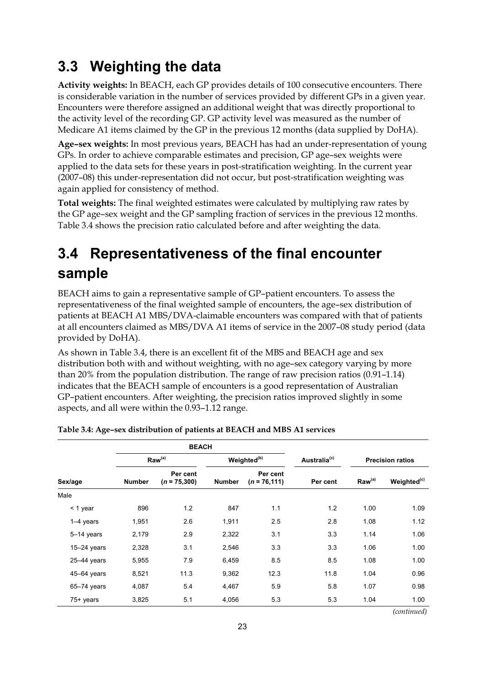## **3.3 Weighting the data**

**Activity weights:** In BEACH, each GP provides details of 100 consecutive encounters. There is considerable variation in the number of services provided by different GPs in a given year. Encounters were therefore assigned an additional weight that was directly proportional to the activity level of the recording GP. GP activity level was measured as the number of Medicare A1 items claimed by the GP in the previous 12 months (data supplied by DoHA).

**Age–sex weights:** In most previous years, BEACH has had an under-representation of young GPs. In order to achieve comparable estimates and precision, GP age–sex weights were applied to the data sets for these years in post-stratification weighting. In the current year (2007–08) this under-representation did not occur, but post-stratification weighting was again applied for consistency of method.

**Total weights:** The final weighted estimates were calculated by multiplying raw rates by the GP age–sex weight and the GP sampling fraction of services in the previous 12 months. Table 3.4 shows the precision ratio calculated before and after weighting the data.

## **3.4 Representativeness of the final encounter sample**

BEACH aims to gain a representative sample of GP–patient encounters. To assess the representativeness of the final weighted sample of encounters, the age–sex distribution of patients at BEACH A1 MBS/DVA-claimable encounters was compared with that of patients at all encounters claimed as MBS/DVA A1 items of service in the 2007–08 study period (data provided by DoHA).

As shown in Table 3.4, there is an excellent fit of the MBS and BEACH age and sex distribution both with and without weighting, with no age–sex category varying by more than 20% from the population distribution. The range of raw precision ratios (0.91–1.14) indicates that the BEACH sample of encounters is a good representation of Australian GP–patient encounters. After weighting, the precision ratios improved slightly in some aspects, and all were within the 0.93–1.12 range.

|                 | <b>BEACH</b>  |                            |               |                             |                          |                         |                         |
|-----------------|---------------|----------------------------|---------------|-----------------------------|--------------------------|-------------------------|-------------------------|
|                 |               | Raw <sup>(a)</sup>         |               | Weighted <sup>(b)</sup>     | Australia <sup>(c)</sup> | <b>Precision ratios</b> |                         |
| Sex/age         | <b>Number</b> | Per cent<br>$(n = 75,300)$ | <b>Number</b> | Per cent<br>$(n = 76, 111)$ | Per cent                 | Raw <sup>(a)</sup>      | Weighted <sup>(c)</sup> |
| Male            |               |                            |               |                             |                          |                         |                         |
| $<$ 1 year      | 896           | 1.2                        | 847           | 1.1                         | 1.2                      | 1.00                    | 1.09                    |
| $1-4$ years     | 1,951         | 2.6                        | 1,911         | 2.5                         | 2.8                      | 1.08                    | 1.12                    |
| 5-14 years      | 2,179         | 2.9                        | 2,322         | 3.1                         | 3.3                      | 1.14                    | 1.06                    |
| $15-24$ years   | 2,328         | 3.1                        | 2,546         | 3.3                         | 3.3                      | 1.06                    | 1.00                    |
| $25-44$ years   | 5,955         | 7.9                        | 6,459         | 8.5                         | 8.5                      | 1.08                    | 1.00                    |
| 45-64 years     | 8,521         | 11.3                       | 9,362         | 12.3                        | 11.8                     | 1.04                    | 0.96                    |
| $65 - 74$ years | 4,087         | 5.4                        | 4,467         | 5.9                         | 5.8                      | 1.07                    | 0.98                    |
| 75+ years       | 3,825         | 5.1                        | 4,056         | 5.3                         | 5.3                      | 1.04                    | 1.00                    |

| Table 3.4: Age-sex distribution of patients at BEACH and MBS A1 services |
|--------------------------------------------------------------------------|
|--------------------------------------------------------------------------|

*(continued)*